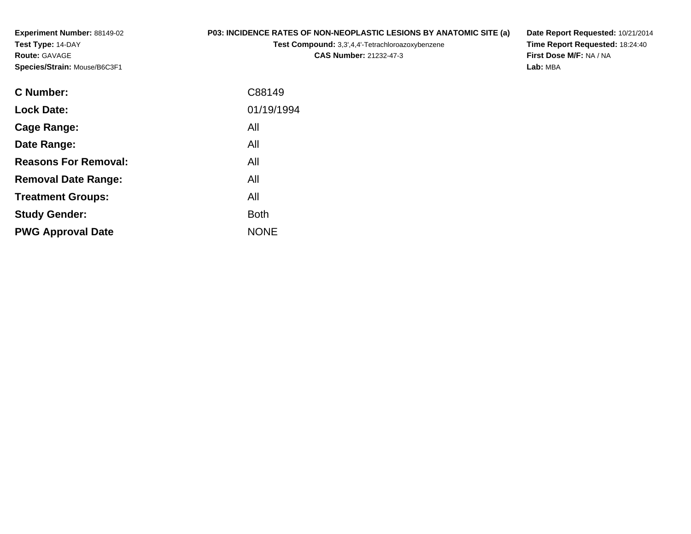**Experiment Number:** 88149-02**Test Type:** 14-DAY**Route:** GAVAGE**Species/Strain:** Mouse/B6C3F1

## **P03: INCIDENCE RATES OF NON-NEOPLASTIC LESIONS BY ANATOMIC SITE (a)**

**Test Compound:** 3,3',4,4'-Tetrachloroazoxybenzene

**CAS Number:** 21232-47-3

**Date Report Requested:** 10/21/2014 **Time Report Requested:** 18:24:40**First Dose M/F:** NA / NA**Lab:** MBA

| <b>C</b> Number:            | C88149      |
|-----------------------------|-------------|
| <b>Lock Date:</b>           | 01/19/1994  |
| Cage Range:                 | All         |
| Date Range:                 | All         |
| <b>Reasons For Removal:</b> | All         |
| <b>Removal Date Range:</b>  | All         |
| <b>Treatment Groups:</b>    | All         |
| <b>Study Gender:</b>        | <b>Both</b> |
| <b>PWG Approval Date</b>    | <b>NONE</b> |
|                             |             |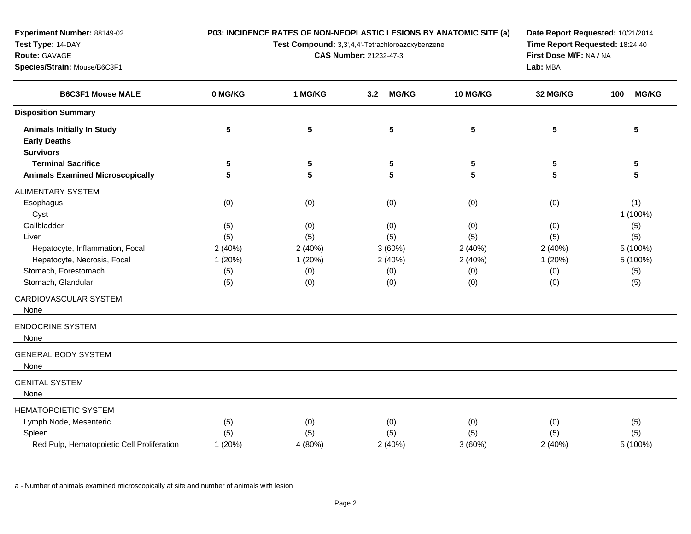**P03: INCIDENCE RATES OF NON-NEOPLASTIC LESIONS BY ANATOMIC SITE (a)**

**Test Compound:** 3,3',4,4'-Tetrachloroazoxybenzene

**CAS Number:** 21232-47-3

**Date Report Requested:** 10/21/2014**Time Report Requested:** 18:24:40**First Dose M/F:** NA / NA**Lab:** MBA

| <b>B6C3F1 Mouse MALE</b>                   | 0 MG/KG | 1 MG/KG | 3.2<br><b>MG/KG</b> | 10 MG/KG       | 32 MG/KG | <b>MG/KG</b><br>100 |
|--------------------------------------------|---------|---------|---------------------|----------------|----------|---------------------|
| <b>Disposition Summary</b>                 |         |         |                     |                |          |                     |
| <b>Animals Initially In Study</b>          | 5       | 5       | ${\bf 5}$           | $5\phantom{1}$ | 5        | 5                   |
| <b>Early Deaths</b>                        |         |         |                     |                |          |                     |
| <b>Survivors</b>                           |         |         |                     |                |          |                     |
| <b>Terminal Sacrifice</b>                  | 5       | 5       | 5                   | 5              | 5        | 5                   |
| <b>Animals Examined Microscopically</b>    | 5       | 5       | 5                   | 5              | 5        | 5                   |
| ALIMENTARY SYSTEM                          |         |         |                     |                |          |                     |
| Esophagus                                  | (0)     | (0)     | (0)                 | (0)            | (0)      | (1)                 |
| Cyst                                       |         |         |                     |                |          | 1 (100%)            |
| Gallbladder                                | (5)     | (0)     | (0)                 | (0)            | (0)      | (5)                 |
| Liver                                      | (5)     | (5)     | (5)                 | (5)            | (5)      | (5)                 |
| Hepatocyte, Inflammation, Focal            | 2(40%)  | 2(40%)  | 3(60%)              | 2(40%)         | 2(40%)   | 5 (100%)            |
| Hepatocyte, Necrosis, Focal                | 1(20%)  | 1(20%)  | 2(40%)              | 2(40%)         | 1(20%)   | 5 (100%)            |
| Stomach, Forestomach                       | (5)     | (0)     | (0)                 | (0)            | (0)      | (5)                 |
| Stomach, Glandular                         | (5)     | (0)     | (0)                 | (0)            | (0)      | (5)                 |
| CARDIOVASCULAR SYSTEM                      |         |         |                     |                |          |                     |
| None                                       |         |         |                     |                |          |                     |
| <b>ENDOCRINE SYSTEM</b>                    |         |         |                     |                |          |                     |
| None                                       |         |         |                     |                |          |                     |
| <b>GENERAL BODY SYSTEM</b>                 |         |         |                     |                |          |                     |
| None                                       |         |         |                     |                |          |                     |
| <b>GENITAL SYSTEM</b>                      |         |         |                     |                |          |                     |
| None                                       |         |         |                     |                |          |                     |
| <b>HEMATOPOIETIC SYSTEM</b>                |         |         |                     |                |          |                     |
| Lymph Node, Mesenteric                     | (5)     | (0)     | (0)                 | (0)            | (0)      | (5)                 |
| Spleen                                     | (5)     | (5)     | (5)                 | (5)            | (5)      | (5)                 |
| Red Pulp, Hematopoietic Cell Proliferation | 1(20%)  | 4 (80%) | 2(40%)              | 3(60%)         | 2(40%)   | 5 (100%)            |
|                                            |         |         |                     |                |          |                     |

a - Number of animals examined microscopically at site and number of animals with lesion

**Experiment Number:** 88149-02

**Species/Strain:** Mouse/B6C3F1

**Test Type:** 14-DAY**Route:** GAVAGE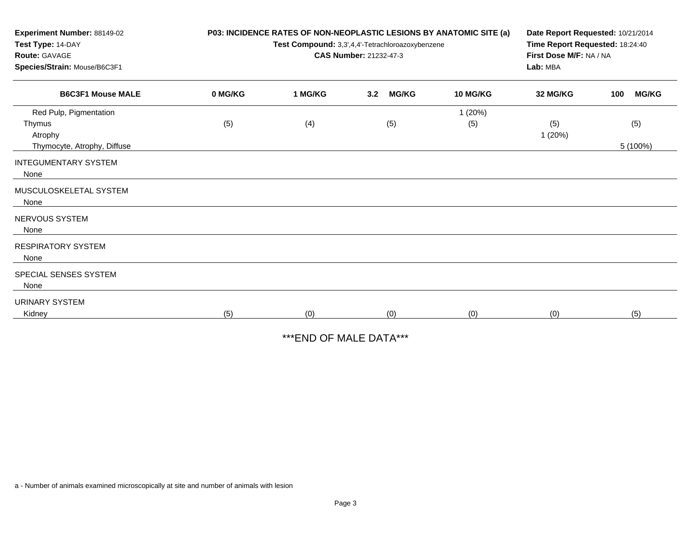| Experiment Number: 88149-02<br>Test Type: 14-DAY<br><b>Route: GAVAGE</b><br>Species/Strain: Mouse/B6C3F1 |         | P03: INCIDENCE RATES OF NON-NEOPLASTIC LESIONS BY ANATOMIC SITE (a)<br>Test Compound: 3,3',4,4'-Tetrachloroazoxybenzene<br>CAS Number: 21232-47-3 | Date Report Requested: 10/21/2014<br>Time Report Requested: 18:24:40<br>First Dose M/F: NA / NA<br>Lab: MBA |                 |               |                     |
|----------------------------------------------------------------------------------------------------------|---------|---------------------------------------------------------------------------------------------------------------------------------------------------|-------------------------------------------------------------------------------------------------------------|-----------------|---------------|---------------------|
| <b>B6C3F1 Mouse MALE</b>                                                                                 | 0 MG/KG | 1 MG/KG                                                                                                                                           | <b>MG/KG</b><br>3.2                                                                                         | <b>10 MG/KG</b> | 32 MG/KG      | <b>MG/KG</b><br>100 |
| Red Pulp, Pigmentation<br>Thymus<br>Atrophy<br>Thymocyte, Atrophy, Diffuse                               | (5)     | (4)                                                                                                                                               | (5)                                                                                                         | 1(20%)<br>(5)   | (5)<br>1(20%) | (5)<br>5 (100%)     |
| <b>INTEGUMENTARY SYSTEM</b><br>None                                                                      |         |                                                                                                                                                   |                                                                                                             |                 |               |                     |
| MUSCULOSKELETAL SYSTEM<br>None                                                                           |         |                                                                                                                                                   |                                                                                                             |                 |               |                     |
| NERVOUS SYSTEM<br>None                                                                                   |         |                                                                                                                                                   |                                                                                                             |                 |               |                     |
| <b>RESPIRATORY SYSTEM</b><br>None                                                                        |         |                                                                                                                                                   |                                                                                                             |                 |               |                     |
| SPECIAL SENSES SYSTEM<br>None                                                                            |         |                                                                                                                                                   |                                                                                                             |                 |               |                     |
| <b>URINARY SYSTEM</b><br>Kidney                                                                          | (5)     | (0)                                                                                                                                               | (0)                                                                                                         | (0)             | (0)           | (5)                 |

\*\*\*END OF MALE DATA\*\*\*

a - Number of animals examined microscopically at site and number of animals with lesion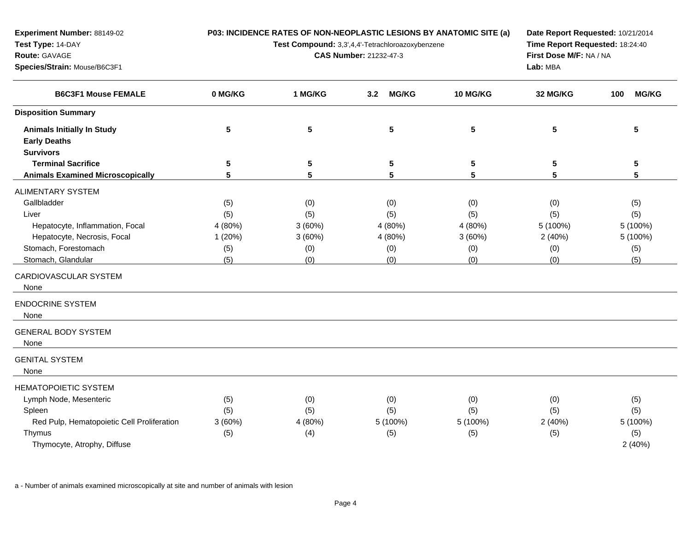**P03: INCIDENCE RATES OF NON-NEOPLASTIC LESIONS BY ANATOMIC SITE (a)**

**Test Compound:** 3,3',4,4'-Tetrachloroazoxybenzene

**CAS Number:** 21232-47-3

**Date Report Requested:** 10/21/2014**Time Report Requested:** 18:24:40**First Dose M/F:** NA / NA**Lab:** MBA

| <b>B6C3F1 Mouse FEMALE</b>                 | 0 MG/KG | 1 MG/KG | <b>MG/KG</b><br>3.2 | 10 MG/KG | 32 MG/KG | <b>MG/KG</b><br>100 |  |
|--------------------------------------------|---------|---------|---------------------|----------|----------|---------------------|--|
| <b>Disposition Summary</b>                 |         |         |                     |          |          |                     |  |
| <b>Animals Initially In Study</b>          | 5       | 5       | 5                   | 5        | 5        | 5                   |  |
| <b>Early Deaths</b>                        |         |         |                     |          |          |                     |  |
| <b>Survivors</b>                           |         |         |                     |          |          |                     |  |
| <b>Terminal Sacrifice</b>                  | 5       | 5       | 5                   | 5        | 5        | 5                   |  |
| <b>Animals Examined Microscopically</b>    | 5       | 5       | $5\phantom{.0}$     | 5        | 5        | $5\phantom{.0}$     |  |
| <b>ALIMENTARY SYSTEM</b>                   |         |         |                     |          |          |                     |  |
| Gallbladder                                | (5)     | (0)     | (0)                 | (0)      | (0)      | (5)                 |  |
| Liver                                      | (5)     | (5)     | (5)                 | (5)      | (5)      | (5)                 |  |
| Hepatocyte, Inflammation, Focal            | 4 (80%) | 3(60%)  | 4 (80%)             | 4 (80%)  | 5 (100%) | 5 (100%)            |  |
| Hepatocyte, Necrosis, Focal                | 1(20%)  | 3(60%)  | 4 (80%)             | 3(60%)   | 2(40%)   | 5 (100%)            |  |
| Stomach, Forestomach                       | (5)     | (0)     | (0)                 | (0)      | (0)      | (5)                 |  |
| Stomach, Glandular                         | (5)     | (0)     | (0)                 | (0)      | (0)      | (5)                 |  |
| CARDIOVASCULAR SYSTEM                      |         |         |                     |          |          |                     |  |
| None                                       |         |         |                     |          |          |                     |  |
| <b>ENDOCRINE SYSTEM</b>                    |         |         |                     |          |          |                     |  |
| None                                       |         |         |                     |          |          |                     |  |
| <b>GENERAL BODY SYSTEM</b>                 |         |         |                     |          |          |                     |  |
| None                                       |         |         |                     |          |          |                     |  |
| <b>GENITAL SYSTEM</b>                      |         |         |                     |          |          |                     |  |
| None                                       |         |         |                     |          |          |                     |  |
| <b>HEMATOPOIETIC SYSTEM</b>                |         |         |                     |          |          |                     |  |
| Lymph Node, Mesenteric                     | (5)     | (0)     | (0)                 | (0)      | (0)      | (5)                 |  |
| Spleen                                     | (5)     | (5)     | (5)                 | (5)      | (5)      | (5)                 |  |
| Red Pulp, Hematopoietic Cell Proliferation | 3(60%)  | 4 (80%) | 5 (100%)            | 5 (100%) | 2(40%)   | 5 (100%)            |  |
| Thymus                                     | (5)     | (4)     | (5)                 | (5)      | (5)      | (5)                 |  |
| Thymocyte, Atrophy, Diffuse                |         |         |                     |          |          | 2(40%)              |  |
|                                            |         |         |                     |          |          |                     |  |

a - Number of animals examined microscopically at site and number of animals with lesion

**Experiment Number:** 88149-02

**Species/Strain:** Mouse/B6C3F1

**Test Type:** 14-DAY**Route:** GAVAGE